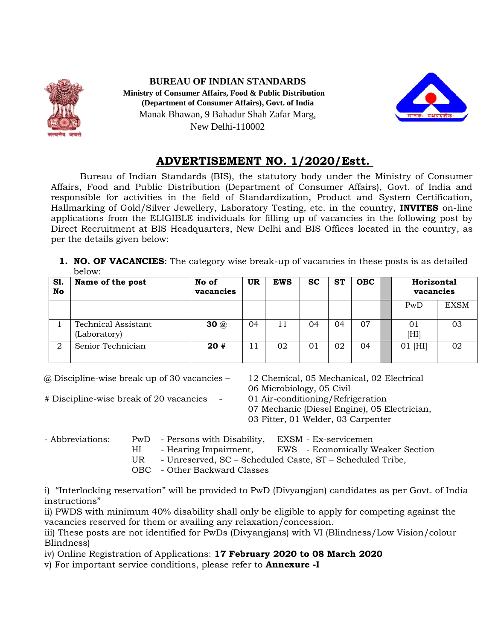

# **BUREAU OF INDIAN STANDARDS Ministry of Consumer Affairs, Food & Public Distribution (Department of Consumer Affairs), Govt. of India** Manak Bhawan, 9 Bahadur Shah Zafar Marg, New Delhi-110002



### \_\_\_\_\_\_\_\_\_\_\_\_\_\_\_\_\_\_\_\_\_\_\_\_\_\_\_\_\_\_\_\_\_\_\_\_\_\_\_\_\_\_\_\_\_\_\_\_\_\_\_\_\_\_\_\_\_\_\_\_\_\_\_\_\_\_\_\_\_\_\_\_\_\_\_\_\_\_\_\_\_\_\_\_\_\_\_\_\_\_\_\_\_\_\_\_\_\_\_\_\_\_\_\_\_\_\_\_\_\_\_\_\_\_\_\_\_\_\_\_\_\_\_\_ **ADVERTISEMENT NO. 1/2020/Estt.**

Bureau of Indian Standards (BIS), the statutory body under the Ministry of Consumer Affairs, Food and Public Distribution (Department of Consumer Affairs), Govt. of India and responsible for activities in the field of Standardization, Product and System Certification, Hallmarking of Gold/Silver Jewellery, Laboratory Testing, etc. in the country, **INVITES** on-line applications from the ELIGIBLE individuals for filling up of vacancies in the following post by Direct Recruitment at BIS Headquarters, New Delhi and BIS Offices located in the country, as per the details given below:

**1. NO. OF VACANCIES**: The category wise break-up of vacancies in these posts is as detailed below:

| <b>S1.</b><br>No | Name of the post                           | No of<br>vacancies | UR | <b>EWS</b> | <b>SC</b> | <b>ST</b> | <b>OBC</b> | Horizontal<br>vacancies |             |
|------------------|--------------------------------------------|--------------------|----|------------|-----------|-----------|------------|-------------------------|-------------|
|                  |                                            |                    |    |            |           |           |            | PwD                     | <b>EXSM</b> |
|                  | <b>Technical Assistant</b><br>(Laboratory) | 30@                | 04 | 11         | 04        | 04        | 07         | 01<br>[HI]              | 03          |
| ∩                | Senior Technician                          | 20#                | 11 | 02         | 01        | 02        | 04         | $01$ [HI]               | 02          |

@ Discipline-wise break up of 30 vacancies – 12 Chemical, 05 Mechanical, 02 Electrical

- # Discipline-wise break of 20 vacancies 01 Air-conditioning/Refrigeration
- 06 Microbiology, 05 Civil
- - 07 Mechanic (Diesel Engine), 05 Electrician,
	- 03 Fitter, 01 Welder, 03 Carpenter

- Abbreviations: PwD Persons with Disability, EXSM Ex-servicemen
	- HI Hearing Impairment, EWS Economically Weaker Section
	- UR Unreserved, SC Scheduled Caste, ST Scheduled Tribe,
	- OBC Other Backward Classes

i) "Interlocking reservation" will be provided to PwD (Divyangjan) candidates as per Govt. of India instructions"

ii) PWDS with minimum 40% disability shall only be eligible to apply for competing against the vacancies reserved for them or availing any relaxation/concession.

iii) These posts are not identified for PwDs (Divyangjans) with VI (Blindness/Low Vision/colour Blindness)

iv) Online Registration of Applications: **17 February 2020 to 08 March 2020**

v) For important service conditions, please refer to **Annexure -I**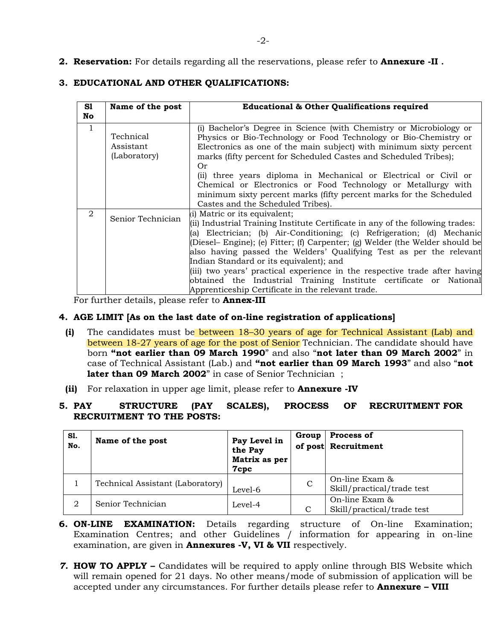**2. Reservation:** For details regarding all the reservations, please refer to **Annexure -II .**

## **3. EDUCATIONAL AND OTHER QUALIFICATIONS:**

| S1<br>No | Name of the post                       | <b>Educational &amp; Other Qualifications required</b>                                                                                                                                                                                                                                                                                                                                                                                                                                                                                                                                                |
|----------|----------------------------------------|-------------------------------------------------------------------------------------------------------------------------------------------------------------------------------------------------------------------------------------------------------------------------------------------------------------------------------------------------------------------------------------------------------------------------------------------------------------------------------------------------------------------------------------------------------------------------------------------------------|
| 1        | Technical<br>Assistant<br>(Laboratory) | (i) Bachelor's Degree in Science (with Chemistry or Microbiology or<br>Physics or Bio-Technology or Food Technology or Bio-Chemistry or<br>Electronics as one of the main subject) with minimum sixty percent<br>marks (fifty percent for Scheduled Castes and Scheduled Tribes);<br>0r<br>(ii) three years diploma in Mechanical or Electrical or Civil or<br>Chemical or Electronics or Food Technology or Metallurgy with<br>minimum sixty percent marks (fifty percent marks for the Scheduled<br>Castes and the Scheduled Tribes).                                                               |
| 2        | Senior Technician                      | (i) Matric or its equivalent;<br>(ii) Industrial Training Institute Certificate in any of the following trades:<br>(a) Electrician; (b) Air-Conditioning; (c) Refrigeration; (d) Mechanic<br>(Diesel– Engine); (e) Fitter; (f) Carpenter; (g) Welder (the Welder should be<br>also having passed the Welders' Qualifying Test as per the relevant<br>Indian Standard or its equivalent); and<br>(iii) two years' practical experience in the respective trade after having<br>obtained the Industrial Training Institute certificate or National<br>Apprenticeship Certificate in the relevant trade. |

For further details, please refer to **Annex-III**

### **4. AGE LIMIT [As on the last date of on-line registration of applications]**

- **(i)** The candidates must be between 18–30 years of age for Technical Assistant (Lab) and between 18-27 years of age for the post of Senior Technician. The candidate should have born **"not earlier than 09 March 1990**" and also "**not later than 09 March 2002**" in case of Technical Assistant (Lab.) and **"not earlier than 09 March 1993**" and also "**not later than 09 March 2002**" in case of Senior Technician ;
- **(ii)** For relaxation in upper age limit, please refer to **Annexure -IV**

#### **5. PAY STRUCTURE (PAY SCALES), PROCESS OF RECRUITMENT FOR RECRUITMENT TO THE POSTS:**

| S1.<br>No. | Name of the post                 | Pay Level in<br>the Pay<br>Matrix as per<br>7cpc | Group         | Process of<br>of post Recruitment            |
|------------|----------------------------------|--------------------------------------------------|---------------|----------------------------------------------|
|            | Technical Assistant (Laboratory) | Level-6                                          | $\mathcal{C}$ | On-line Exam &<br>Skill/practical/trade test |
| 2          | Senior Technician                | Level-4                                          | C             | On-line Exam &<br>Skill/practical/trade test |

- **6. ON-LINE EXAMINATION:** Details regarding structure of On-line Examination; Examination Centres; and other Guidelines / information for appearing in on-line examination, are given in **Annexures -V, VI & VII** respectively.
- *7.* **HOW TO APPLY –** Candidates will be required to apply online through BIS Website which will remain opened for 21 days. No other means/mode of submission of application will be accepted under any circumstances. For further details please refer to **Annexure – VIII**